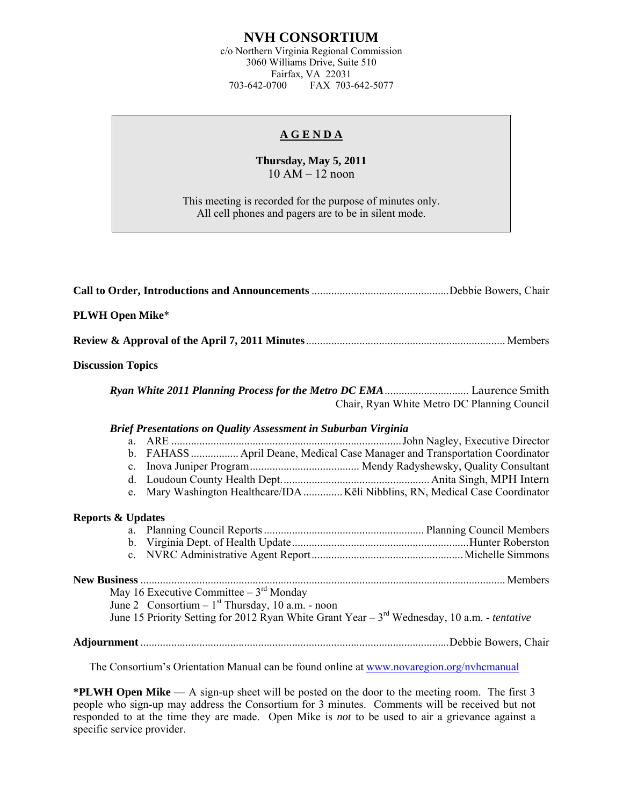## **NVH CONSORTIUM**

c/o Northern Virginia Regional Commission 3060 Williams Drive, Suite 510 Fairfax, VA 22031<br>703-642-0700 FAX 703-FAX 703-642-5077

## **A G E N D A**

## **Thursday, May 5, 2011**  10 AM – 12 noon

This meeting is recorded for the purpose of minutes only. All cell phones and pagers are to be in silent mode.

| <b>PLWH Open Mike*</b>                                                                                                                               |  |  |  |  |
|------------------------------------------------------------------------------------------------------------------------------------------------------|--|--|--|--|
|                                                                                                                                                      |  |  |  |  |
| <b>Discussion Topics</b>                                                                                                                             |  |  |  |  |
| Chair, Ryan White Metro DC Planning Council                                                                                                          |  |  |  |  |
| Brief Presentations on Quality Assessment in Suburban Virginia                                                                                       |  |  |  |  |
| b. FAHASS  April Deane, Medical Case Manager and Transportation Coordinator                                                                          |  |  |  |  |
| Mary Washington Healthcare/IDA  Kēli Nibblins, RN, Medical Case Coordinator<br>$e_{-}$                                                               |  |  |  |  |
| <b>Reports &amp; Updates</b>                                                                                                                         |  |  |  |  |
|                                                                                                                                                      |  |  |  |  |
| May 16 Executive Committee $-3^{rd}$ Monday                                                                                                          |  |  |  |  |
| June 2 Consortium – $1st$ Thursday, 10 a.m. - noon<br>June 15 Priority Setting for 2012 Ryan White Grant Year – $3rd$ Wednesday, 10 a.m. - tentative |  |  |  |  |
|                                                                                                                                                      |  |  |  |  |

The Consortium's Orientation Manual can be found online at [www.novaregion.org/nvhcmanual](http://www.novaregion.org/nvhcmanual)

**\*PLWH Open Mike** — A sign-up sheet will be posted on the door to the meeting room. The first 3 people who sign-up may address the Consortium for 3 minutes. Comments will be received but not responded to at the time they are made. Open Mike is *not* to be used to air a grievance against a specific service provider.